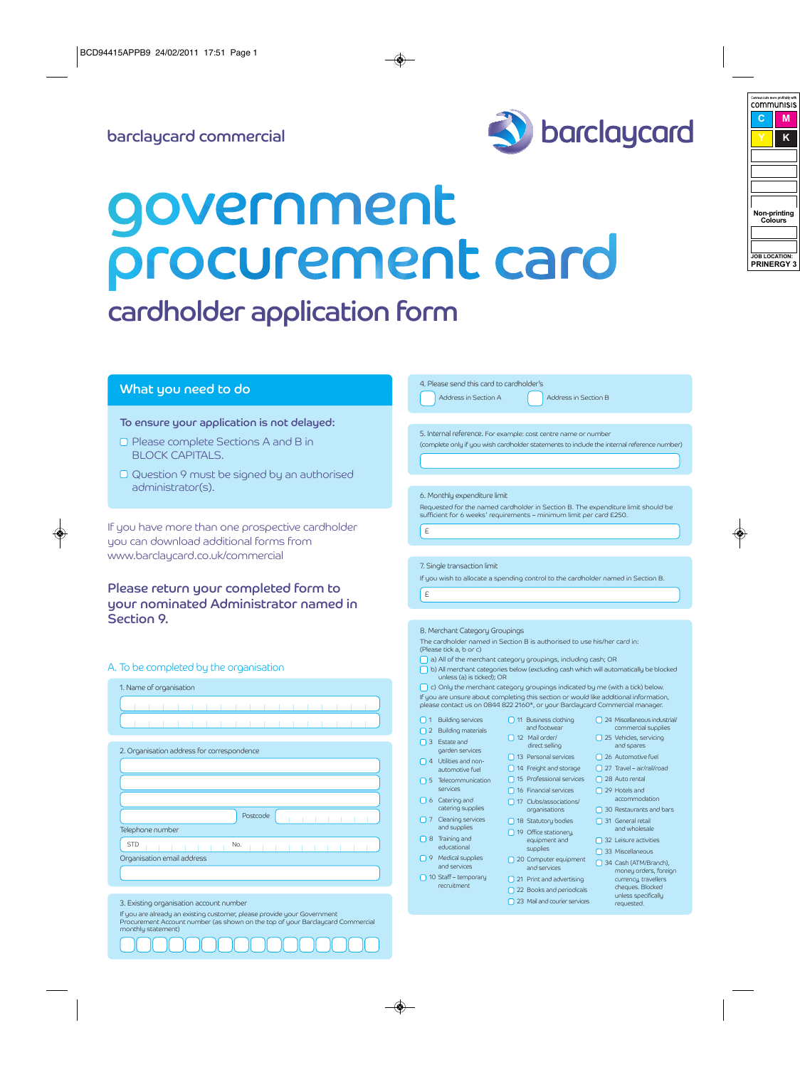

# government procurement card

# cardholder application form

# What you need to do

## To ensure your application is not delayed:

- Please complete Sections A and B in BLOCK CAPITALS.
- Question 9 must be signed by an authorised administrator(s).

If you have more than one prospective cardholder you can download additional forms from www.barclaycard.co.uk/commercial

Please return your completed form to your nominated Administrator named in Section 9.

## A. To be completed by the organisation

|  |  | 1. Name of organisation |  |  |  |  |  |  |  |
|--|--|-------------------------|--|--|--|--|--|--|--|
|  |  |                         |  |  |  |  |  |  |  |
|  |  |                         |  |  |  |  |  |  |  |

| 2. Organisation address for correspondence |          |  |
|--------------------------------------------|----------|--|
|                                            |          |  |
|                                            |          |  |
|                                            |          |  |
|                                            |          |  |
|                                            | Postcode |  |
| Telephone number                           |          |  |
| <b>STD</b>                                 | No.      |  |
| Organisation email address                 |          |  |
|                                            |          |  |

If you are already an existing customer, please provide your Government Procurement Account number (as shown on the top of your Barclaycard Commercial monthly statement)

| 5. Internal reference. For example: cost centre name or number                             |                                                                                                                                                                                                                                                                                                                                                                                                                                                                                                                                                                                                       |
|--------------------------------------------------------------------------------------------|-------------------------------------------------------------------------------------------------------------------------------------------------------------------------------------------------------------------------------------------------------------------------------------------------------------------------------------------------------------------------------------------------------------------------------------------------------------------------------------------------------------------------------------------------------------------------------------------------------|
| (complete only if you wish cardholder statements to include the internal reference number) |                                                                                                                                                                                                                                                                                                                                                                                                                                                                                                                                                                                                       |
|                                                                                            |                                                                                                                                                                                                                                                                                                                                                                                                                                                                                                                                                                                                       |
|                                                                                            |                                                                                                                                                                                                                                                                                                                                                                                                                                                                                                                                                                                                       |
|                                                                                            |                                                                                                                                                                                                                                                                                                                                                                                                                                                                                                                                                                                                       |
| Requested for the named cardholder in Section B. The expenditure limit should be           |                                                                                                                                                                                                                                                                                                                                                                                                                                                                                                                                                                                                       |
|                                                                                            |                                                                                                                                                                                                                                                                                                                                                                                                                                                                                                                                                                                                       |
|                                                                                            |                                                                                                                                                                                                                                                                                                                                                                                                                                                                                                                                                                                                       |
|                                                                                            |                                                                                                                                                                                                                                                                                                                                                                                                                                                                                                                                                                                                       |
|                                                                                            |                                                                                                                                                                                                                                                                                                                                                                                                                                                                                                                                                                                                       |
|                                                                                            |                                                                                                                                                                                                                                                                                                                                                                                                                                                                                                                                                                                                       |
|                                                                                            |                                                                                                                                                                                                                                                                                                                                                                                                                                                                                                                                                                                                       |
|                                                                                            |                                                                                                                                                                                                                                                                                                                                                                                                                                                                                                                                                                                                       |
|                                                                                            |                                                                                                                                                                                                                                                                                                                                                                                                                                                                                                                                                                                                       |
|                                                                                            |                                                                                                                                                                                                                                                                                                                                                                                                                                                                                                                                                                                                       |
|                                                                                            |                                                                                                                                                                                                                                                                                                                                                                                                                                                                                                                                                                                                       |
|                                                                                            |                                                                                                                                                                                                                                                                                                                                                                                                                                                                                                                                                                                                       |
|                                                                                            |                                                                                                                                                                                                                                                                                                                                                                                                                                                                                                                                                                                                       |
| c) Only the merchant category groupings indicated by me (with a tick) below.               |                                                                                                                                                                                                                                                                                                                                                                                                                                                                                                                                                                                                       |
| please contact us on 0844 822 2160*, or your Barclaycard Commercial manager.               |                                                                                                                                                                                                                                                                                                                                                                                                                                                                                                                                                                                                       |
| 11 Business clothing                                                                       | 24 Miscellaneous industrial                                                                                                                                                                                                                                                                                                                                                                                                                                                                                                                                                                           |
| and footwear                                                                               | commercial supplies                                                                                                                                                                                                                                                                                                                                                                                                                                                                                                                                                                                   |
| direct selling                                                                             | 25 Vehicles, servicing<br>and spares                                                                                                                                                                                                                                                                                                                                                                                                                                                                                                                                                                  |
| 13 Personal services                                                                       |                                                                                                                                                                                                                                                                                                                                                                                                                                                                                                                                                                                                       |
|                                                                                            | 26 Automotive fuel                                                                                                                                                                                                                                                                                                                                                                                                                                                                                                                                                                                    |
| 14 Freight and storage                                                                     | $\Box$ 27 Travel – air/rail/road                                                                                                                                                                                                                                                                                                                                                                                                                                                                                                                                                                      |
| 15 Professional services                                                                   | 28 Auto rental                                                                                                                                                                                                                                                                                                                                                                                                                                                                                                                                                                                        |
| 16 Financial services                                                                      | $\Box$ 29 Hotels and                                                                                                                                                                                                                                                                                                                                                                                                                                                                                                                                                                                  |
| 17 Clubs/associations/                                                                     | accommodation                                                                                                                                                                                                                                                                                                                                                                                                                                                                                                                                                                                         |
| organisations                                                                              | 30 Restaurants and bars                                                                                                                                                                                                                                                                                                                                                                                                                                                                                                                                                                               |
| 18 Statutory bodies                                                                        | $\Box$ 31 General retail                                                                                                                                                                                                                                                                                                                                                                                                                                                                                                                                                                              |
| 19 Office stationery,                                                                      | and wholesale                                                                                                                                                                                                                                                                                                                                                                                                                                                                                                                                                                                         |
| equipment and<br>supplies                                                                  | $\Box$ 32 Leisure activities                                                                                                                                                                                                                                                                                                                                                                                                                                                                                                                                                                          |
| 20 Computer equipment                                                                      | 33 Miscellaneous<br>34 Cash (ATM/Branch),                                                                                                                                                                                                                                                                                                                                                                                                                                                                                                                                                             |
| and services                                                                               | money orders, foreign                                                                                                                                                                                                                                                                                                                                                                                                                                                                                                                                                                                 |
| $\Box$ 21 Print and advertising<br>22 Books and periodicals                                | currency, travellers<br>cheques. Blocked                                                                                                                                                                                                                                                                                                                                                                                                                                                                                                                                                              |
|                                                                                            | 6. Monthly expenditure limit<br>sufficient for 6 weeks' requirements - minimum limit per card E250.<br>If you wish to allocate a spending control to the cardholder named in Section B.<br>8. Merchant Category Groupings<br>The cardholder named in Section B is authorised to use his/her card in:<br>a) All of the merchant category groupings, including cash; OR<br>b) All merchant categories below (excluding cash which will automatically be blocked<br>unless (a) is ticked); OR<br>If you are unsure about completing this section or would like additional information,<br>12 Mail order/ |

4. Please send this card to cardholder's

Address in Section A Address in Section B

<sup>3.</sup> Existing organisation account number